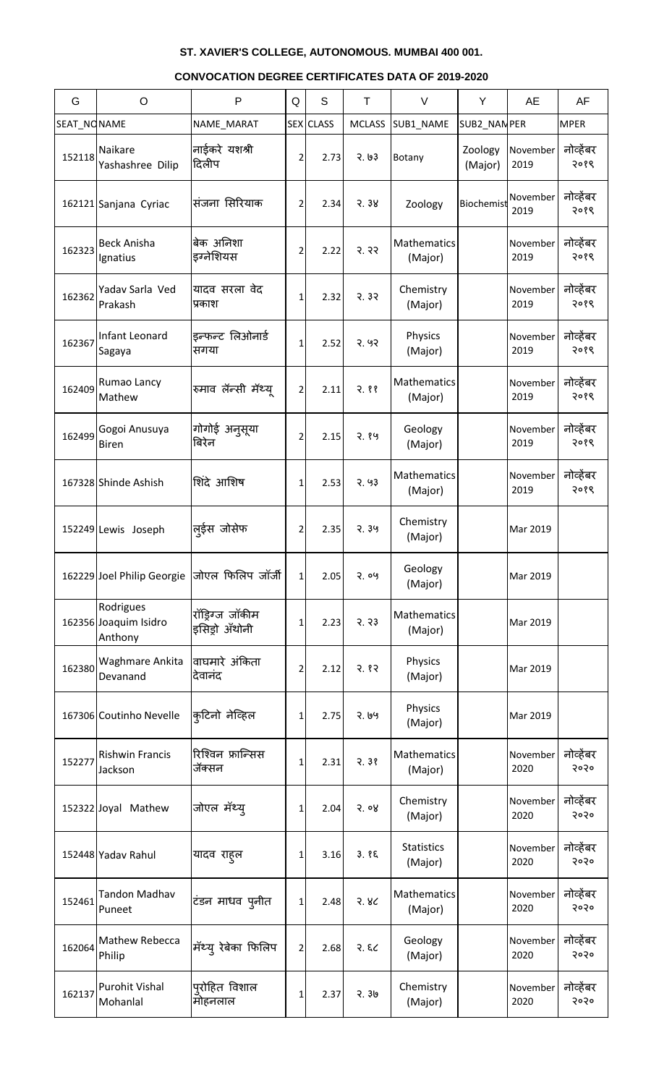| G           | $\circ$                                       | $\mathsf{P}$                     | Q              | S                | Τ             | V                            | Y                  | <b>AE</b>        | AF                |
|-------------|-----------------------------------------------|----------------------------------|----------------|------------------|---------------|------------------------------|--------------------|------------------|-------------------|
| SEAT_NONAME |                                               | NAME_MARAT                       |                | <b>SEX</b> CLASS | <b>MCLASS</b> | SUB1_NAME                    | SUB2_NAN PER       |                  | <b>MPER</b>       |
| 152118      | Naikare<br>Yashashree Dilip                   | नाईकरे यशश्री<br>दिलीप           | 2              | 2.73             | 3.63          | Botany                       | Zoology<br>(Major) | November<br>2019 | नोव्हेंबर<br>२०१९ |
|             | 162121 Sanjana Cyriac                         | संजना सिरियाक                    | 2              | 2.34             | 3.38          | Zoology                      | Biochemist         | November<br>2019 | नोव्हेंबर<br>२०१९ |
| 162323      | <b>Beck Anisha</b><br>Ignatius                | बेक अनिशा<br>इग्नेशियस           | 2              | 2.22             | 3.33          | Mathematics<br>(Major)       |                    | November<br>2019 | नोव्हेंबर<br>२०१९ |
| 162362      | Yadav Sarla Ved<br>Prakash                    | यादव सरला वेद<br>प्रकाश          | 1              | 2.32             | 3.33          | Chemistry<br>(Major)         |                    | November<br>2019 | नोव्हेंबर<br>२०१९ |
| 162367      | Infant Leonard<br>Sagaya                      | इन्फन्ट लिओनार्ड<br>सगया         | 1              | 2.52             | 3.93          | Physics<br>(Major)           |                    | November<br>2019 | नोव्हेंबर<br>२०१९ |
| 162409      | Rumao Lancy<br>Mathew                         | रुमाव लॅन्सी मॅथ्य               | $\overline{2}$ | 2.11             | 2.88          | Mathematics<br>(Major)       |                    | November<br>2019 | नोव्हेंबर<br>२०१९ |
| 162499      | Gogoi Anusuya<br><b>Biren</b>                 | गोगोई अनुसूया<br>बिरेन           | 2              | 2.15             | 2.89          | Geology<br>(Major)           |                    | November<br>2019 | नोव्हेंबर<br>२०१९ |
|             | 167328 Shinde Ashish                          | शिंदे आशिष                       | 1              | 2.53             | 2.93          | Mathematics<br>(Major)       |                    | November<br>2019 | नोव्हेंबर<br>२०१९ |
|             | 152249 Lewis Joseph                           | लुईस जोसेफ                       | 2              | 2.35             | 2.39          | Chemistry<br>(Major)         |                    | Mar 2019         |                   |
|             | 162229 Joel Philip Georgie                    | जोएल फिलिप जॉर्जी                | 1              | 2.05             | 2.09          | Geology<br>(Major)           |                    | Mar 2019         |                   |
|             | Rodrigues<br>162356 Joaquim Isidro<br>Anthony | रॉड्रिग्ज जॉकीम<br>इसिड़ो अँथोनी | 1              | 2.23             | 3.33          | Mathematics<br>(Major)       |                    | Mar 2019         |                   |
| 162380      | Waghmare Ankita<br>Devanand                   | वाघमारे अंकिता<br>देवानंद        | 2              | 2.12             | 3.83          | Physics<br>(Major)           |                    | Mar 2019         |                   |
|             | 167306 Coutinho Nevelle                       | कुटिनो नेव्हिल                   | 1              | 2.75             | २. ७५         | Physics<br>(Major)           |                    | Mar 2019         |                   |
| 152277      | <b>Rishwin Francis</b><br>Jackson             | रिश्विन फ्रान्सिस<br>जॅक्सन      | 1              | 2.31             | 2.38          | Mathematics<br>(Major)       |                    | November<br>2020 | नोव्हेंबर<br>२०२० |
|             | 152322 Joyal Mathew                           | जोएल मॅथ्यू                      | 1              | 2.04             | 5.08          | Chemistry<br>(Major)         |                    | November<br>2020 | नोव्हेंबर<br>२०२० |
|             | 152448 Yadav Rahul                            | यादव राह्ल                       | 1              | 3.16             | 3.85          | <b>Statistics</b><br>(Major) |                    | November<br>2020 | नोव्हेंबर<br>२०२० |
| 152461      | <b>Tandon Madhav</b><br>Puneet                | टंडन माधव पुनीत                  | 1              | 2.48             | 3.8<          | Mathematics<br>(Major)       |                    | November<br>2020 | नोव्हेंबर<br>२०२० |
| 162064      | Mathew Rebecca<br>Philip                      | <sub>।</sub> मॅथ्य् रेबेका फिलिप | $\overline{2}$ | 2.68             | 3.52          | Geology<br>(Major)           |                    | November<br>2020 | नोव्हेंबर<br>२०२० |
| 162137      | <b>Purohit Vishal</b><br>Mohanlal             | प् <b>रोहित विशाल</b><br>मोहनलाल | 1              | 2.37             | 9.30          | Chemistry<br>(Major)         |                    | November<br>2020 | नोव्हेंबर<br>२०२० |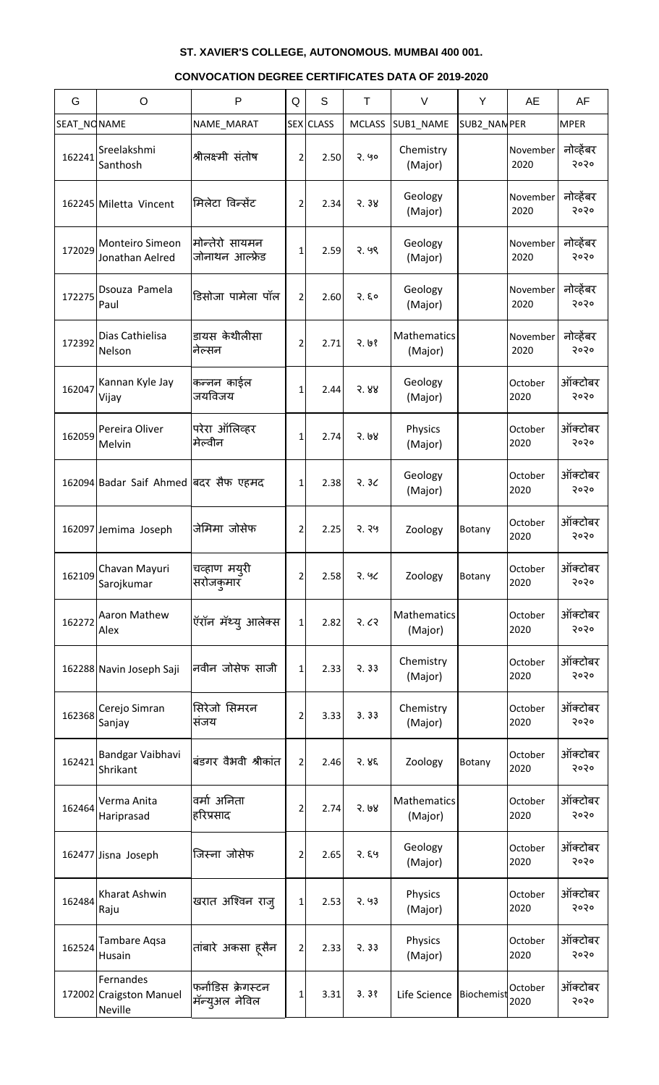| G           | $\circ$                                                | $\mathsf{P}$                          | Q            | S                | Τ             | V                      | Y            | <b>AE</b>        | AF                |
|-------------|--------------------------------------------------------|---------------------------------------|--------------|------------------|---------------|------------------------|--------------|------------------|-------------------|
| SEAT_NONAME |                                                        | NAME_MARAT                            |              | <b>SEX</b> CLASS | <b>MCLASS</b> | SUB1_NAME              | SUB2_NAN PER |                  | <b>MPER</b>       |
| 162241      | Sreelakshmi<br>Santhosh                                | श्रीलक्ष्मी संतोष                     | 2            | 2.50             | 2.90          | Chemistry<br>(Major)   |              | November<br>2020 | नोव्हेंबर<br>२०२० |
|             | 162245 Miletta Vincent                                 | मिलेटा विन्सेंट                       | 2            | 2.34             | 3.38          | Geology<br>(Major)     |              | November<br>2020 | नोव्हेंबर<br>२०२० |
| 172029      | <b>Monteiro Simeon</b><br>Jonathan Aelred              | मोन्तेरो सायमन<br>जोनाथन आल्फ्रेड     | 1            | 2.59             | 2.99          | Geology<br>(Major)     |              | November<br>2020 | नोव्हेंबर<br>२०२० |
| 172275      | Dsouza Pamela<br>Paul                                  | डिसोजा पामेला पॉल                     | 2            | 2.60             | 2.50          | Geology<br>(Major)     |              | November<br>2020 | नोव्हेंबर<br>२०२० |
| 172392      | Dias Cathielisa<br>Nelson                              | डायस केथीलीसा<br>नेल्सन               | 2            | 2.71             | 3.93          | Mathematics<br>(Major) |              | November<br>2020 | नोव्हेंबर<br>२०२० |
| 162047      | Kannan Kyle Jay<br>Vijay                               | कन्नन काईल<br>जयविजय                  | 1            | 2.44             | 3.88          | Geology<br>(Major)     |              | October<br>2020  | ऑक्टोबर<br>२०२०   |
| 162059      | Pereira Oliver<br>Melvin                               | परेरा ऑलिव्हर<br>मेल्वीन              | 1            | 2.74             | 3.08          | Physics<br>(Major)     |              | October<br>2020  | ऑक्टोबर<br>२०२०   |
|             | 162094 Badar Saif Ahmed बिंदर सैफ एहमद                 |                                       | 1            | 2.38             | 3.3<          | Geology<br>(Major)     |              | October<br>2020  | ऑक्टोबर<br>२०२०   |
|             | 162097 Jemima Joseph                                   | जेमिमा जोसेफ                          | 2            | 2.25             | २. २५         | Zoology                | Botany       | October<br>2020  | ऑक्टोबर<br>२०२०   |
| 162109      | Chavan Mayuri<br>Sarojkumar                            | चव्हाण मय् <b>री</b><br>सरोजकुमार     | 2            | 2.58             | 2.96          | Zoology                | Botany       | October<br>2020  | ऑक्टोबर<br>२०२०   |
| 162272      | Aaron Mathew<br>Alex                                   | ऍरॉन मॅथ्य् आलेक्स                    | $\mathbf{1}$ | 2.82             | २.८२          | Mathematics<br>(Major) |              | October<br>2020  | ऑक्टोबर<br>२०२०   |
|             | 162288 Navin Joseph Saji                               | नवीन जोसेफ साजी                       | 1            | 2.33             | 3.33          | Chemistry<br>(Major)   |              | October<br>2020  | ऑक्टोबर<br>२०२०   |
| 162368      | Cerejo Simran<br>Sanjay                                | सिरेजो सिमरन<br>सजय                   | 2            | 3.33             | 3.33          | Chemistry<br>(Major)   |              | October<br>2020  | ऑक्टोबर<br>२०२०   |
| 162421      | Bandgar Vaibhavi<br>Shrikant                           | बंडगर वैभवी श्रीकांत                  | 2            | 2.46             | 3.85          | Zoology                | Botany       | October<br>2020  | ऑक्टोबर<br>२०२०   |
| 162464      | Verma Anita<br>Hariprasad                              | वर्मा अनिता<br>हरिप्रसाद              | 2            | 2.74             | 3.68          | Mathematics<br>(Major) |              | October<br>2020  | ऑक्टोबर<br>२०२०   |
|             | 162477 Jisna Joseph                                    | जिस्ना जोसेफ                          | 2            | 2.65             | २. ६५         | Geology<br>(Major)     |              | October<br>2020  | ऑक्टोबर<br>२०२०   |
| 162484      | Kharat Ashwin<br>Raju                                  | खरात अश्विन राज्                      | 1            | 2.53             | 2.93          | Physics<br>(Major)     |              | October<br>2020  | ऑक्टोबर<br>२०२०   |
| 162524      | Tambare Aqsa<br>Husain                                 | तांबारे अकसा ह्सैन                    | 2            | 2.33             | 3.33          | Physics<br>(Major)     |              | October<br>2020  | ऑक्टोबर<br>२०२०   |
|             | Fernandes<br>172002 Craigston Manuel<br><b>Neville</b> | फर्नांडिस क्रेगस्टन<br>मॅन्युअल नेविल | 1            | 3.31             | 3.38          | Life Science           | Biochemist   | October<br>2020  | ऑक्टोबर<br>5050   |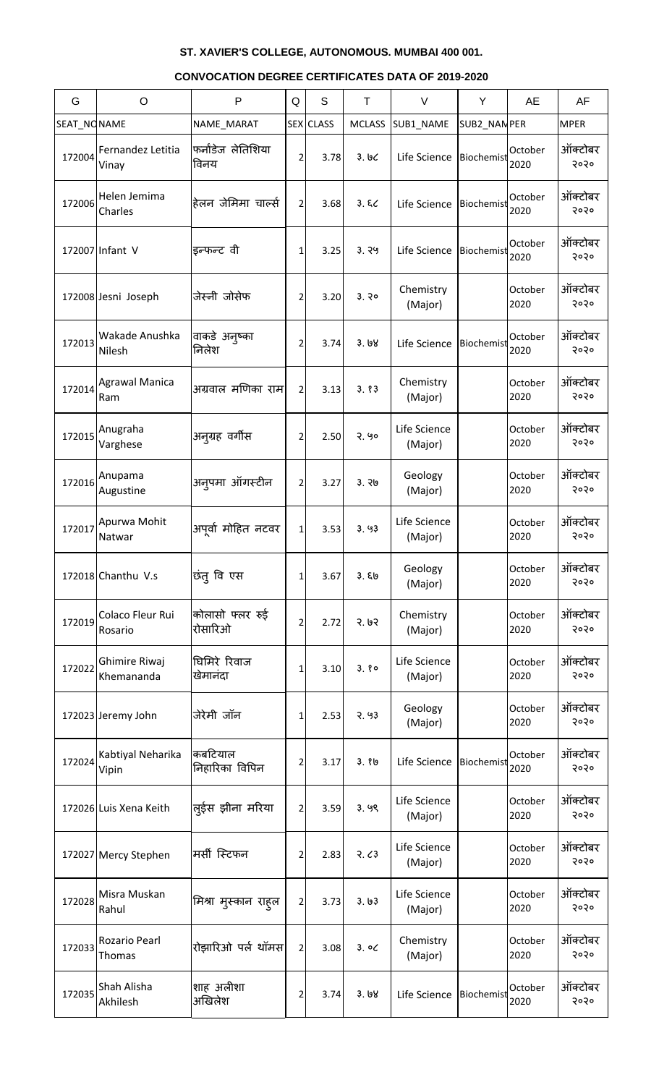| G           | $\circ$                       | P                          | Q              | S         | T             | $\vee$                  | Y           | AE              | AF              |
|-------------|-------------------------------|----------------------------|----------------|-----------|---------------|-------------------------|-------------|-----------------|-----------------|
| SEAT_NONAME |                               | NAME_MARAT                 |                | SEX CLASS | <b>MCLASS</b> | SUB1_NAME               | SUB2_NANPER |                 | <b>MPER</b>     |
| 172004      | Fernandez Letitia<br>Vinay    | फर्नांडेज लेतिशिया<br>विनय | 2              | 3.78      | 3.66          | Life Science            | Biochemist  | October<br>2020 | ऑक्टोबर<br>२०२० |
| 172006      | Helen Jemima<br>Charles       | हेलन जेमिमा चार्ल्स        | 2              | 3.68      | 3.52          | Life Science            | Biochemist  | October<br>2020 | ऑक्टोबर<br>२०२० |
|             | 172007 Infant V               | इन्फन्ट वी                 | 1              | 3.25      | 3.79          | Life Science            | Biochemist  | October<br>2020 | ऑक्टोबर<br>२०२० |
|             | 172008 Jesni Joseph           | जेस्नी जोसेफ               | 2              | 3.20      | 3.30          | Chemistry<br>(Major)    |             | October<br>2020 | ऑक्टोबर<br>२०२० |
| 172013      | Wakade Anushka<br>Nilesh      | वाकडे अन्ष्का<br>निलेश     | 2              | 3.74      | 3.68          | Life Science            | Biochemist  | October<br>2020 | ऑक्टोबर<br>२०२० |
| 172014      | <b>Agrawal Manica</b><br>Ram  | अग्रवाल मणिका राम          | $\overline{2}$ | 3.13      | 3.83          | Chemistry<br>(Major)    |             | October<br>2020 | ऑक्टोबर<br>२०२० |
| 172015      | Anugraha<br>Varghese          | अन्ग्यह वर्गीस             | 2              | 2.50      | 2.90          | Life Science<br>(Major) |             | October<br>2020 | ऑक्टोबर<br>२०२० |
| 172016      | Anupama<br>Augustine          | अनुपमा ऑगस्टीन             | 2              | 3.27      | 3.76          | Geology<br>(Major)      |             | October<br>2020 | ऑक्टोबर<br>२०२० |
|             | 172017 Apurwa Mohit<br>Natwar | अपूर्वा मोहित नटवर         | 1              | 3.53      | 3.93          | Life Science<br>(Major) |             | October<br>2020 | ऑक्टोबर<br>२०२० |
|             | 172018 Chanthu V.s            | छंतु वि एस                 | 1              | 3.67      | 3.56          | Geology<br>(Major)      |             | October<br>2020 | ऑक्टोबर<br>२०२० |
| 172019      | Colaco Fleur Rui<br>Rosario   | कोलासो फ्लर रुई<br>रोसारिओ | 2              | 2.72      | 3.63          | Chemistry<br>(Major)    |             | October<br>2020 | ऑक्टोबर<br>२०२० |
| 172022      | Ghimire Riwaj<br>Khemananda   | धिमिरे रिवाज<br>खेमानंदा   | 1              | 3.10      | 3.80          | Life Science<br>(Major) |             | October<br>2020 | ऑक्टोबर<br>२०२० |
|             | 172023 Jeremy John            | जेरेमी जॉन                 | 1              | 2.53      | 2.93          | Geology<br>(Major)      |             | October<br>2020 | ऑक्टोबर<br>२०२० |
| 172024      | Kabtiyal Neharika<br>Vipin    | कबटियाल<br>निहारिका विपिन  | 2              | 3.17      | 3.86          | Life Science            | Biochemist  | October<br>2020 | ऑक्टोबर<br>२०२० |
|             | 172026 Luis Xena Keith        | ल्ईस झीना मरिया            | $\overline{2}$ | 3.59      | 3.99          | Life Science<br>(Major) |             | October<br>2020 | ऑक्टोबर<br>२०२० |
|             | 172027 Mercy Stephen          | मर्सी स्टिफन               | 2              | 2.83      | 3.63          | Life Science<br>(Major) |             | October<br>2020 | ऑक्टोबर<br>२०२० |
| 172028      | Misra Muskan<br>Rahul         | मिश्रा मुस्कान राह्ल       | $\overline{2}$ | 3.73      | 3.63          | Life Science<br>(Major) |             | October<br>2020 | ऑक्टोबर<br>२०२० |
| 172033      | Rozario Pearl<br>Thomas       | रोझारिओ पर्ल थॉमस          | $\overline{2}$ | 3.08      | 3.00          | Chemistry<br>(Major)    |             | October<br>2020 | ऑक्टोबर<br>२०२० |
| 172035      | Shah Alisha<br>Akhilesh       | शाह अलीशा<br>अखिलेश        | 2              | 3.74      | 3.68          | Life Science            | Biochemist  | October<br>2020 | ऑक्टोबर<br>२०२० |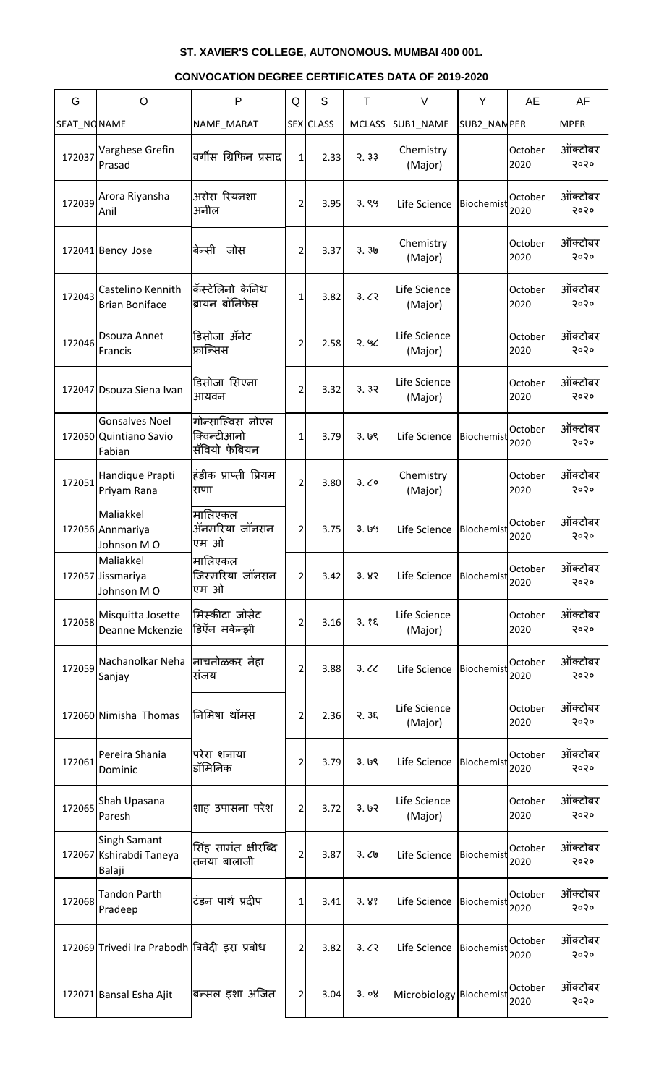| G           | O                                                         | P                                                | Q              | S         | T             | $\vee$                    | Y           | AE              | AF              |
|-------------|-----------------------------------------------------------|--------------------------------------------------|----------------|-----------|---------------|---------------------------|-------------|-----------------|-----------------|
| SEAT_NONAME |                                                           | NAME_MARAT                                       |                | SEX CLASS | <b>MCLASS</b> | SUB1_NAME                 | SUB2_NANPER |                 | <b>MPER</b>     |
| 172037      | Varghese Grefin<br>Prasad                                 | वर्गीस ग्रिफिन प्रसाद                            | 1              | 2.33      | 3.33          | Chemistry<br>(Major)      |             | October<br>2020 | ऑक्टोबर<br>२०२० |
| 172039      | Arora Riyansha<br>Anil                                    | अरोरा रियनशा<br>अनील                             | 2              | 3.95      | 3.89          | Life Science              | Biochemist  | October<br>2020 | ऑक्टोबर<br>२०२० |
|             | 172041 Bency Jose                                         | बेन्सी जोस                                       | 2              | 3.37      | 3.30          | Chemistry<br>(Major)      |             | October<br>2020 | ऑक्टोबर<br>२०२० |
| 172043      | Castelino Kennith<br><b>Brian Boniface</b>                | कॅस्टेलिनो केनिथ<br>ब्रायन बॉनिफेस               | $\mathbf{1}$   | 3.82      | 3.62          | Life Science<br>(Major)   |             | October<br>2020 | ऑक्टोबर<br>२०२० |
| 172046      | Dsouza Annet<br>Francis                                   | डिसोजा ॲनेट<br>फ्रान्सिस                         | 2              | 2.58      | 2.90          | Life Science<br>(Major)   |             | October<br>2020 | ऑक्टोबर<br>२०२० |
|             | 172047 Dsouza Siena Ivan                                  | डिसोजा सिएना<br>आयवन                             | 2              | 3.32      | 3.32          | Life Science<br>(Major)   |             | October<br>2020 | ऑक्टोबर<br>२०२० |
|             | <b>Gonsalves Noel</b><br>172050 Quintiano Savio<br>Fabian | गोन्साल्विस नोएल<br>क्विन्टीआनो<br>सॅवियो फेबियन | $\mathbf{1}$   | 3.79      | 3.69          | Life Science              | Biochemist  | October<br>2020 | ऑक्टोबर<br>२०२० |
| 172051      | Handique Prapti<br>Priyam Rana                            | हंडीक प्राप्ती प्रियम<br>राणा                    | $\overline{2}$ | 3.80      | 3.00          | Chemistry<br>(Major)      |             | October<br>2020 | ऑक्टोबर<br>२०२० |
|             | Maliakkel<br>172056 Annmariya<br>Johnson MO               | मालिएकल<br>ॲनमरिया जॉनसन<br>एम ओ                 | $\overline{2}$ | 3.75      | 3.199         | Life Science              | Biochemist  | October<br>2020 | ऑक्टोबर<br>२०२० |
|             | Maliakkel<br>172057 Jissmariya<br>Johnson MO              | मालिएकल<br>जिस्मरिया जॉनसन<br>एम ओ               | 2              | 3.42      | 3.83          | Life Science              | Biochemist  | October<br>2020 | ऑक्टोबर<br>२०२० |
| 172058      | Misquitta Josette<br>Deanne Mckenzie                      | मिस्कीटा जोसेट<br>डिऍन मकेन्झी                   | 2              | 3.16      | 3.85          | Life Science<br>(Major)   |             | October<br>2020 | ऑक्टोबर<br>२०२० |
| 172059      | Nachanolkar Neha<br>Sanjay                                | नाचनोळकर नेहा<br>सजय                             | 2              | 3.88      | 3.60          | Life Science              | Biochemist  | October<br>2020 | ऑक्टोबर<br>२०२० |
|             | 172060 Nimisha Thomas                                     | निमिषा थॉमस                                      | 2              | 2.36      | 35.35         | Life Science<br>(Major)   |             | October<br>2020 | ऑक्टोबर<br>२०२० |
| 172061      | Pereira Shania<br>Dominic                                 | परेरा शनाया<br>डॉमिनिक                           | 2              | 3.79      | 3.69          | Life Science              | Biochemist  | October<br>2020 | ऑक्टोबर<br>२०२० |
| 172065      | Shah Upasana<br>Paresh                                    | शाह उपासना परेश                                  | $\overline{2}$ | 3.72      | 3.62          | Life Science<br>(Major)   |             | October<br>2020 | ऑक्टोबर<br>२०२० |
|             | Singh Samant<br>172067 Kshirabdi Taneya<br>Balaji         | सिंह सामंत क्षीरब्दि<br>तनया बालाजी              | $\overline{2}$ | 3.87      | 3.09          | Life Science              | Biochemist  | October<br>2020 | ऑक्टोबर<br>२०२० |
| 172068      | <b>Tandon Parth</b><br>Pradeep                            | टंडन पार्थ प्रदीप                                | 1              | 3.41      | 3.88          | Life Science              | Biochemist  | October<br>2020 | ऑक्टोबर<br>२०२० |
|             | 172069 Trivedi Ira Prabodh  त्रिवेदी इरा प्रबोध           |                                                  | 2              | 3.82      | 3.62          | Life Science   Biochemist |             | October<br>2020 | ऑक्टोबर<br>5050 |
|             | 172071 Bansal Esha Ajit                                   | बन्सल इशा अजित                                   | 2              | 3.04      | 3.08          | Microbiology Biochemist   |             | October<br>2020 | ऑक्टोबर<br>२०२० |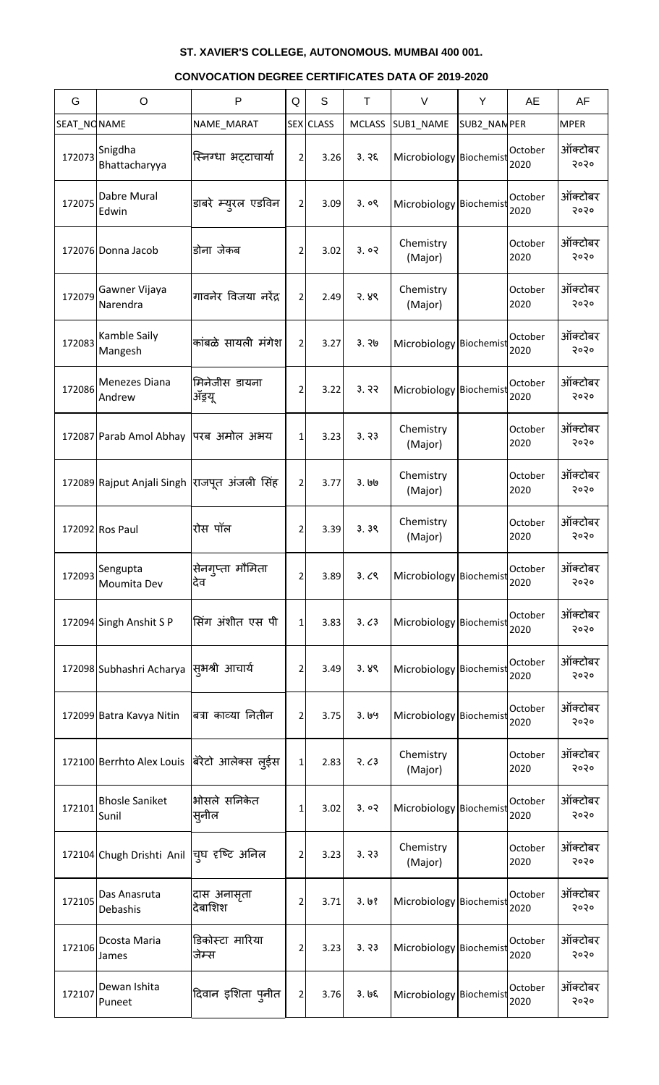| G           | O                                            | P                        | Q              | S         | T             | $\vee$                  | Y            | AE              | AF              |
|-------------|----------------------------------------------|--------------------------|----------------|-----------|---------------|-------------------------|--------------|-----------------|-----------------|
| SEAT_NONAME |                                              | NAME_MARAT               |                | SEX CLASS | <b>MCLASS</b> | SUB1_NAME               | SUB2_NAN PER |                 | <b>MPER</b>     |
| 172073      | Snigdha<br>Bhattacharyya                     | स्निग्धा भट्टाचार्या     | $\overline{2}$ | 3.26      | 3.76          | Microbiology Biochemist |              | October<br>2020 | ऑक्टोबर<br>२०२० |
| 172075      | Dabre Mural<br>Edwin                         | डाबरे म्य्ारल एडविन      | 2 <sup>1</sup> | 3.09      | 3.09          | Microbiology Biochemist |              | October<br>2020 | ऑक्टोबर<br>२०२० |
|             | 172076 Donna Jacob                           | डोना जेकब                | 2              | 3.02      | 3.02          | Chemistry<br>(Major)    |              | October<br>2020 | ऑक्टोबर<br>२०२० |
| 172079      | Gawner Vijaya<br>Narendra                    | गावनेर विजया नरेंद्र     | 2              | 2.49      | 3.88          | Chemistry<br>(Major)    |              | October<br>2020 | ऑक्टोबर<br>२०२० |
| 172083      | Kamble Saily<br>Mangesh                      | कांबळे सायली मंगेश       | $\overline{2}$ | 3.27      | 3.76          | Microbiology Biochemist |              | October<br>2020 | ऑक्टोबर<br>२०२० |
| 172086      | Menezes Diana<br>Andrew                      | मिनेजीस डायना<br>ॲड्रयू  | 2              | 3.22      | 3.32          | Microbiology Biochemist |              | October<br>2020 | ऑक्टोबर<br>२०२० |
|             | 172087 Parab Amol Abhay                      | परब अमोल अभय             | $\mathbf{1}$   | 3.23      | 3.73          | Chemistry<br>(Major)    |              | October<br>2020 | ऑक्टोबर<br>२०२० |
|             | 172089 Rajput Anjali Singh राजपूत अंजली सिंह |                          | 2              | 3.77      | ३. ७७         | Chemistry<br>(Major)    |              | October<br>2020 | ऑक्टोबर<br>२०२० |
|             | 172092 Ros Paul                              | रोस पॉल                  | $\overline{2}$ | 3.39      | 3.39          | Chemistry<br>(Major)    |              | October<br>2020 | ऑक्टोबर<br>२०२० |
| 172093      | Sengupta<br>Moumita Dev                      | सेनगुप्ता मौमिता<br>देव  | 2              | 3.89      | 3.09          | Microbiology Biochemist |              | October<br>2020 | ऑक्टोबर<br>२०२० |
|             | 172094 Singh Anshit S P                      | सिंग अंशीत एस पी         | 1              | 3.83      | 3.63          | Microbiology Biochemist |              | October<br>2020 | ऑक्टोबर<br>२०२० |
|             | 172098 Subhashri Acharya                     | सूभश्री आचार्य           | 2              | 3.49      | 3.89          | Microbiology Biochemist |              | October<br>2020 | ऑक्टोबर<br>२०२० |
|             | 172099 Batra Kavya Nitin                     | बत्रा काव्या नितीन       | 2              | 3.75      | 3.199         | Microbiology Biochemist |              | October<br>2020 | ऑक्टोबर<br>२०२० |
|             | 172100 Berrhto Alex Louis                    | बॅरेटो आलेक्स लुईस       | $\mathbf{1}$   | 2.83      | 3.63          | Chemistry<br>(Major)    |              | October<br>2020 | ऑक्टोबर<br>२०२० |
| 172101      | <b>Bhosle Saniket</b><br>Sunil               | भोसले सनिकेत<br>स्नील    | 1              | 3.02      | 3.02          | Microbiology Biochemist |              | October<br>2020 | ऑक्टोबर<br>२०२० |
|             | 172104 Chugh Drishti Anil                    | यूघ दृष्टि अनिल          | 2              | 3.23      | 3.73          | Chemistry<br>(Major)    |              | October<br>2020 | ऑक्टोबर<br>२०२० |
| 172105      | Das Anasruta<br>Debashis                     | दास अनासृता<br>देबाशिश   | 2              | 3.71      | 3.68          | Microbiology Biochemist |              | October<br>2020 | ऑक्टोबर<br>२०२० |
| 172106      | Dcosta Maria<br>James                        | डिकोस्टा मारिया<br>जेम्स | 2              | 3.23      | 3.33          | Microbiology Biochemist |              | October<br>2020 | ऑक्टोबर<br>5050 |
| 172107      | Dewan Ishita<br>Puneet                       | दिवान इशिता पुनीत        | $\overline{2}$ | 3.76      | 3.65          | Microbiology Biochemist |              | October<br>2020 | ऑक्टोबर<br>२०२० |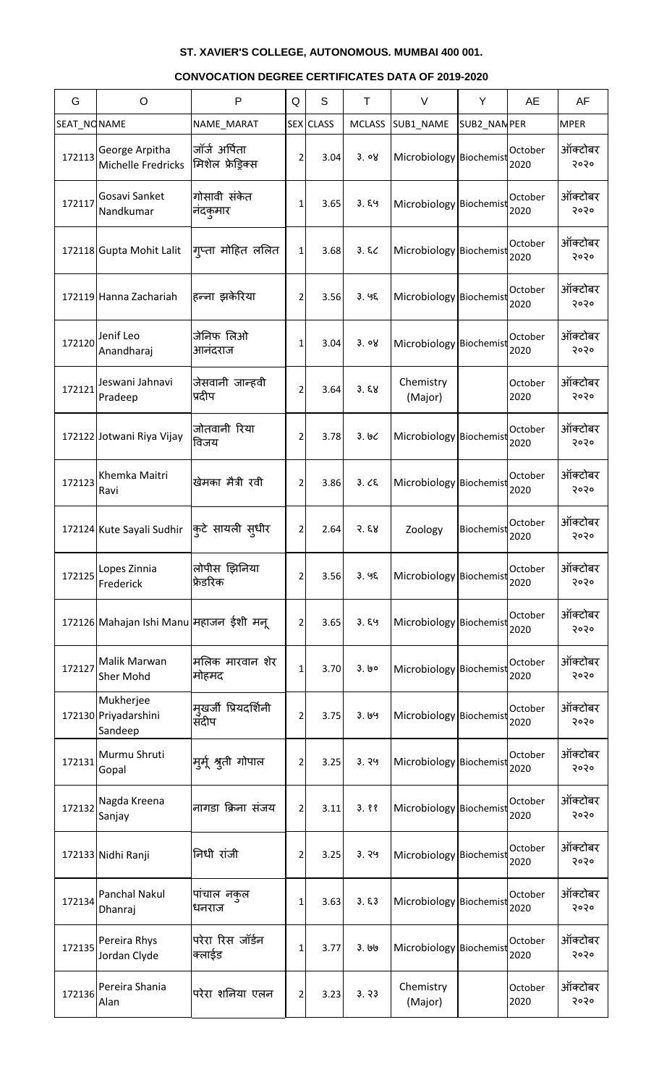| G           | $\circ$                                      | P                                 | Q              | S                | Τ             | $\vee$                  | Y            | <b>AE</b>       | AF              |
|-------------|----------------------------------------------|-----------------------------------|----------------|------------------|---------------|-------------------------|--------------|-----------------|-----------------|
| SEAT_NONAME |                                              | NAME_MARAT                        |                | <b>SEX</b> CLASS | <b>MCLASS</b> | SUB1 NAME               | SUB2_NAN PER |                 | <b>MPER</b>     |
| 172113      | George Arpitha<br>Michelle Fredricks         | जॉर्ज अर्पिता<br>मिशेल फ्रेड़िक्स | 2              | 3.04             | 3.08          | Microbiology Biochemist |              | October<br>2020 | ऑक्टोबर<br>२०२० |
| 172117      | Gosavi Sanket<br>Nandkumar                   | गोसावी संकेत<br>नदकुमार           | 1              | 3.65             | 3.89          | Microbiology Biochemist |              | October<br>2020 | ऑक्टोबर<br>२०२० |
|             | 172118 Gupta Mohit Lalit                     | गृप्ता मोहित ललित                 | $\mathbf{1}$   | 3.68             | 3.82          | Microbiology Biochemist |              | October<br>2020 | ऑक्टोबर<br>२०२० |
|             | 172119 Hanna Zachariah                       | हन्ना झकेरिया                     | 2              | 3.56             | 3.95          | Microbiology Biochemist |              | October<br>2020 | ऑक्टोबर<br>२०२० |
| 172120      | Jenif Leo<br>Anandharaj                      | जेनिफ लिओ<br>आनंदराज              | 1              | 3.04             | 3.08          | Microbiology Biochemist |              | October<br>2020 | ऑक्टोबर<br>२०२० |
| 172121      | Jeswani Jahnavi<br>Pradeep                   | जेसवानी जान्हवी<br>प्रदीप         | 2              | 3.64             | 3.58          | Chemistry<br>(Major)    |              | October<br>2020 | ऑक्टोबर<br>२०२० |
|             | 172122 Jotwani Riya Vijay                    | जोतवानी रिया<br>विजय              | 2              | 3.78             | 3.66          | Microbiology Biochemist |              | October<br>2020 | ऑक्टोबर<br>२०२० |
| 172123      | Khemka Maitri<br>Ravi                        | खेमका मैत्री रवी                  | 2              | 3.86             | 3.25          | Microbiology Biochemist |              | October<br>2020 | ऑक्टोबर<br>२०२० |
|             | 172124 Kute Sayali Sudhir क्रिटे सायली स्धीर |                                   | 2              | 2.64             | 3.58          | Zoology                 | Biochemist   | October<br>2020 | ऑक्टोबर<br>२०२० |
| 172125      | Lopes Zinnia<br>Frederick                    | लोपीस झिनिया<br>फ्रेडरिक          | 2              | 3.56             | 3.95          | Microbiology Biochemist |              | October<br>2020 | ऑक्टोबर<br>२०२० |
|             | 172126 Mahajan Ishi Manu महाजन ईशी मन्       |                                   | 2              | 3.65             | 3.89          | Microbiology Biochemist |              | October<br>2020 | ऑक्टोबर<br>२०२० |
| 172127      | Malik Marwan<br><b>Sher Mohd</b>             | मलिक मारवान शेर<br>मोहमद          | 1              | 3.70             | 3.60          | Microbiology Biochemist |              | October<br>2020 | ऑक्टोबर<br>२०२० |
|             | Mukherjee<br>172130 Priyadarshini<br>Sandeep | मृखर्जी प्रियदर्शिनी<br>संदीप     | 2              | 3.75             | 3.69          | Microbiology Biochemist |              | October<br>2020 | ऑक्टोबर<br>२०२० |
| 172131      | Murmu Shruti<br>Gopal                        | मुम्र् श्रुती गोपाल               | 2              | 3.25             | 3.99          | Microbiology Biochemist |              | October<br>2020 | ऑक्टोबर<br>२०२० |
| 172132      | Nagda Kreena<br>Sanjay                       | नागडा क्रिना संजय                 | 2              | 3.11             | 3.88          | Microbiology Biochemist |              | October<br>2020 | ऑक्टोबर<br>२०२० |
|             | 172133 Nidhi Ranji                           | निधी रांजी                        | 2              | 3.25             | 3.99          | Microbiology Biochemist |              | October<br>2020 | ऑक्टोबर<br>२०२० |
| 172134      | Panchal Nakul<br>Dhanraj                     | पांचाल नकल<br>धनराज               | 1              | 3.63             | 3.53          | Microbiology Biochemist |              | October<br>2020 | ऑक्टोबर<br>२०२० |
| 172135      | Pereira Rhys<br>Jordan Clyde                 | परेरा रिस जॉर्डन<br>क्लाईड        | 1              | 3.77             | ३. ७७         | Microbiology Biochemist |              | October<br>2020 | ऑक्टोबर<br>२०२० |
| 172136      | Pereira Shania<br>Alan                       | परेरा शनिया एलन                   | $\overline{2}$ | 3.23             | 3.73          | Chemistry<br>(Major)    |              | October<br>2020 | ऑक्टोबर<br>5050 |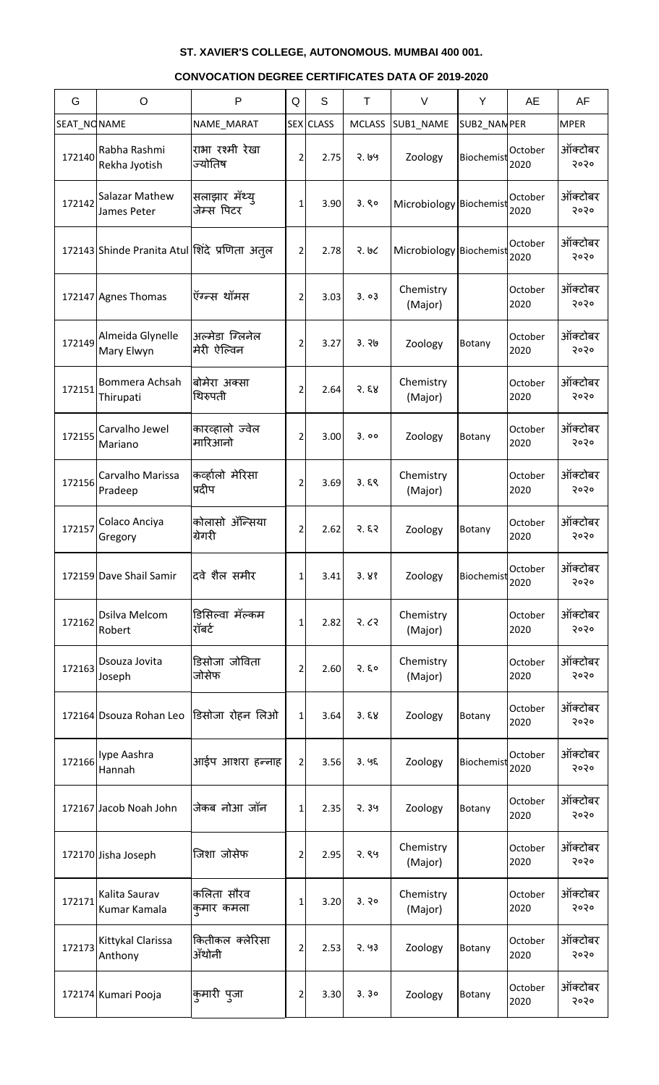| G           | $\circ$                                       | $\mathsf{P}$                   | Q | S                | T             | $\vee$                  | Y            | <b>AE</b>       | AF              |
|-------------|-----------------------------------------------|--------------------------------|---|------------------|---------------|-------------------------|--------------|-----------------|-----------------|
| SEAT_NONAME |                                               | NAME_MARAT                     |   | <b>SEX</b> CLASS | <b>MCLASS</b> | SUB1_NAME               | SUB2_NAN PER |                 | <b>MPER</b>     |
| 172140      | Rabha Rashmi<br>Rekha Jyotish                 | राभा रश्मी रेखा<br>ज्योतिष     | 2 | 2.75             | २. ७५         | Zoology                 | Biochemist   | October<br>2020 | ऑक्टोबर<br>२०२० |
| 172142      | Salazar Mathew<br>James Peter                 | सलाझार मॅथ्यू<br>जेम्स पिटर    | 1 | 3.90             | 3.80          | Microbiology Biochemist |              | October<br>2020 | ऑक्टोबर<br>२०२० |
|             | 172143 Shinde Pranita Atul शिंदे प्रणिता अतूल |                                | 2 | 2.78             | २. ७८         | Microbiology Biochemist |              | October<br>2020 | ऑक्टोबर<br>२०२० |
|             | 172147 Agnes Thomas                           | ऍग्न्स थॉमस                    | 2 | 3.03             | 3.03          | Chemistry<br>(Major)    |              | October<br>2020 | ऑक्टोबर<br>२०२० |
| 172149      | Almeida Glynelle<br>Mary Elwyn                | अल्मेडा ग्लिनेल<br>मेरी ऐल्विन | 2 | 3.27             | 3.76          | Zoology                 | Botany       | October<br>2020 | ऑक्टोबर<br>२०२० |
| 172151      | Bommera Achsah<br>Thirupati                   | बोमेरा अक्सा<br>थिरुपती        | 2 | 2.64             | 3.58          | Chemistry<br>(Major)    |              | October<br>2020 | ऑक्टोबर<br>२०२० |
| 172155      | Carvalho Jewel<br>Mariano                     | कारव्हालो ज्वेल<br>मारिआनो     | 2 | 3.00             | 3.00          | Zoology                 | Botany       | October<br>2020 | ऑक्टोबर<br>२०२० |
| 172156      | Carvalho Marissa<br>Pradeep                   | कर्व्हालो मेरिसा<br>प्रदीप     | 2 | 3.69             | 3.59          | Chemistry<br>(Major)    |              | October<br>2020 | ऑक्टोबर<br>२०२० |
|             | 172157 Colaco Anciya<br>Gregory               | कोलासो ॲन्सिया<br>ग्रेगरी      | 2 | 2.62             | 3.53          | Zoology                 | Botany       | October<br>2020 | ऑक्टोबर<br>२०२० |
|             | 172159 Dave Shail Samir                       | दवे शैल समीर                   | 1 | 3.41             | 3.88          | Zoology                 | Biochemist   | October<br>2020 | ऑक्टोबर<br>२०२० |
| 172162      | Dsilva Melcom<br>Robert                       | डिसिल्वा मॅल्कम<br>रॉबर्ट      | 1 | 2.82             | २. ८२         | Chemistry<br>(Major)    |              | October<br>2020 | ऑक्टोबर<br>२०२० |
| 172163      | Dsouza Jovita<br>Joseph                       | डिसोजा जोविता<br>जोसेफ         | 2 | 2.60             | 3.50          | Chemistry<br>(Major)    |              | October<br>2020 | ऑक्टोबर<br>२०२० |
|             | 172164 Dsouza Rohan Leo                       | डिसोजा रोहन लिओ                | 1 | 3.64             | 3.58          | Zoology                 | Botany       | October<br>2020 | ऑक्टोबर<br>२०२० |
| 172166      | Iype Aashra<br>Hannah                         | आईप आशरा हन्नाह                | 2 | 3.56             | 3.95          | Zoology                 | Biochemist   | October<br>2020 | ऑक्टोबर<br>२०२० |
|             | 172167 Jacob Noah John                        | जेकब नोआ जॉन                   | 1 | 2.35             | 2.39          | Zoology                 | Botany       | October<br>2020 | ऑक्टोबर<br>२०२० |
|             | 172170 Jisha Joseph                           | जिशा जोसेफ                     | 2 | 2.95             | २.९५          | Chemistry<br>(Major)    |              | October<br>2020 | ऑक्टोबर<br>२०२० |
| 172171      | Kalita Saurav<br>Kumar Kamala                 | कलिता सौरव<br>कुमार कमला       | 1 | 3.20             | 3.30          | Chemistry<br>(Major)    |              | October<br>2020 | ऑक्टोबर<br>२०२० |
| 172173      | Kittykal Clarissa<br>Anthony                  | कितीकल क्लेरिसा<br>ॲंथोनी      | 2 | 2.53             | 2.93          | Zoology                 | Botany       | October<br>2020 | ऑक्टोबर<br>२०२० |
|             | 172174 Kumari Pooja                           | कुमारी पुजा                    | 2 | 3.30             | 3.30          | Zoology                 | Botany       | October<br>2020 | ऑक्टोबर<br>२०२० |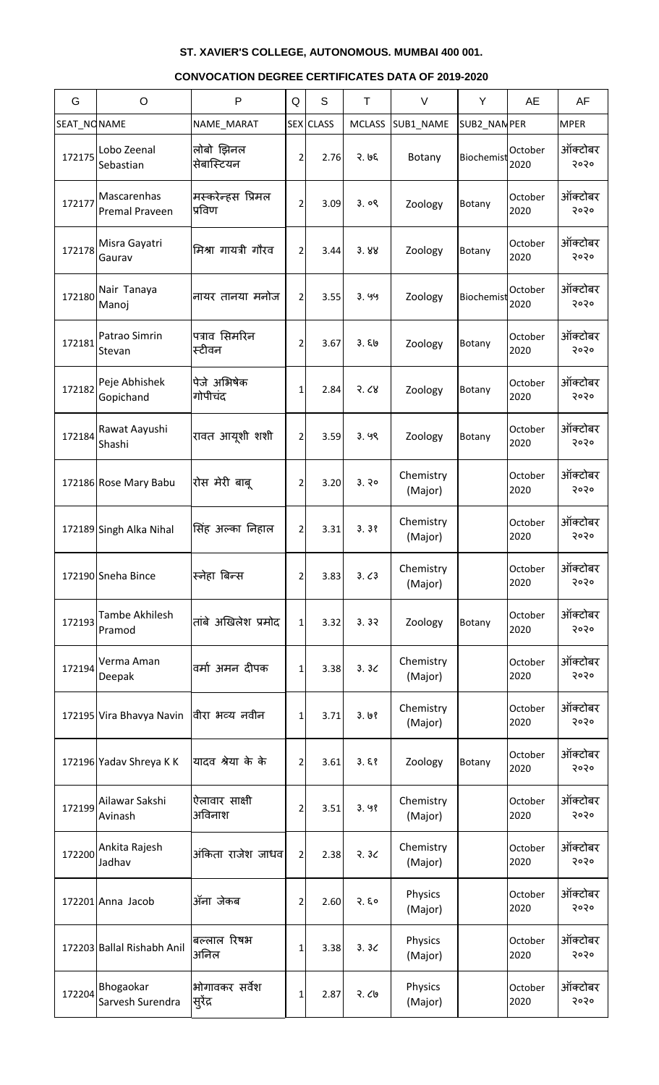| G           | $\circ$                       | P                           | Q              | S                | Τ             | V                    | Y           | AE              | AF              |
|-------------|-------------------------------|-----------------------------|----------------|------------------|---------------|----------------------|-------------|-----------------|-----------------|
| SEAT_NONAME |                               | NAME_MARAT                  |                | <b>SEX</b> CLASS | <b>MCLASS</b> | SUB1_NAME            | SUB2_NANPER |                 | <b>MPER</b>     |
| 172175      | Lobo Zeenal<br>Sebastian      | लोबो झिनल<br>सेबास्टियन     | 2              | 2.76             | २. ७६         | Botany               | Biochemist  | October<br>2020 | ऑक्टोबर<br>२०२० |
| 172177      | Mascarenhas<br>Premal Praveen | मस्करेन्हस प्रिमल<br>प्रविण | 2              | 3.09             | 3.09          | Zoology              | Botany      | October<br>2020 | ऑक्टोबर<br>२०२० |
| 172178      | Misra Gayatri<br>Gaurav       | मिश्रा गायत्री गौरव         | 2              | 3.44             | 3.88          | Zoology              | Botany      | October<br>2020 | ऑक्टोबर<br>२०२० |
| 172180      | Nair Tanaya<br>Manoj          | नायर तानया मनोज             | 2              | 3.55             | 3.99          | Zoology              | Biochemist  | October<br>2020 | ऑक्टोबर<br>२०२० |
| 172181      | Patrao Simrin<br>Stevan       | पत्राव सिमरिन<br>स्टीवन     | 2              | 3.67             | 3.50          | Zoology              | Botany      | October<br>2020 | ऑक्टोबर<br>२०२० |
| 172182      | Peje Abhishek<br>Gopichand    | पेजे अभिषेक<br>गोपीचंद      | 1              | 2.84             | 3.68          | Zoology              | Botany      | October<br>2020 | ऑक्टोबर<br>२०२० |
| 172184      | Rawat Aayushi<br>Shashi       | रावत आयूशी शशी              | 2              | 3.59             | 3.99          | Zoology              | Botany      | October<br>2020 | ऑक्टोबर<br>२०२० |
|             | 172186 Rose Mary Babu         | रोस मेरी बाबू               | 2              | 3.20             | 3.30          | Chemistry<br>(Major) |             | October<br>2020 | ऑक्टोबर<br>२०२० |
|             | 172189 Singh Alka Nihal       | सिंह अल्का निहाल            | $\overline{2}$ | 3.31             | 3.38          | Chemistry<br>(Major) |             | October<br>2020 | ऑक्टोबर<br>२०२० |
|             | 172190 Sneha Bince            | स्नेहा बिन्स                | $\overline{2}$ | 3.83             | 3.63          | Chemistry<br>(Major) |             | October<br>2020 | ऑक्टोबर<br>२०२० |
| 172193      | Tambe Akhilesh<br>Pramod      | तांबे अखिलेश प्रमोद         | $\mathbf{1}$   | 3.32             | 3.32          | Zoology              | Botany      | October<br>2020 | ऑक्टोबर<br>२०२० |
| 172194      | Verma Aman<br>Deepak          | वर्मा अमन दीपक              | 1              | 3.38             | 3.3<          | Chemistry<br>(Major) |             | October<br>2020 | ऑक्टोबर<br>२०२० |
|             | 172195 Vira Bhavya Navin      | वीरा भव्य नवीन              | 1              | 3.71             | 3.68          | Chemistry<br>(Major) |             | October<br>2020 | ऑक्टोबर<br>२०२० |
|             | 172196 Yadav Shreya K K       | यादव श्रेया के के           | 2              | 3.61             | 3.58          | Zoology              | Botany      | October<br>2020 | ऑक्टोबर<br>२०२० |
| 172199      | Ailawar Sakshi<br>Avinash     | ऐलावार साक्षी<br>अविनाश     | 2              | 3.51             | 3.98          | Chemistry<br>(Major) |             | October<br>2020 | ऑक्टोबर<br>२०२० |
| 172200      | Ankita Rajesh<br>Jadhav       | अंकिता राजेश जाधव           | $\overline{2}$ | 2.38             | 3.30          | Chemistry<br>(Major) |             | October<br>2020 | ऑक्टोबर<br>२०२० |
|             | 172201 Anna Jacob             | ॲना जेकब                    | 2              | 2.60             | 2.50          | Physics<br>(Major)   |             | October<br>2020 | ऑक्टोबर<br>२०२० |
|             | 172203 Ballal Rishabh Anil    | बल्लाल रिषभ<br>अनिल         | 1              | 3.38             | 3.3<          | Physics<br>(Major)   |             | October<br>2020 | ऑक्टोबर<br>२०२० |
| 172204      | Bhogaokar<br>Sarvesh Surendra | भोगावकर सर्वेश<br>सुरेंद्र  | 1              | 2.87             | 2.69          | Physics<br>(Major)   |             | October<br>2020 | ऑक्टोबर<br>२०२० |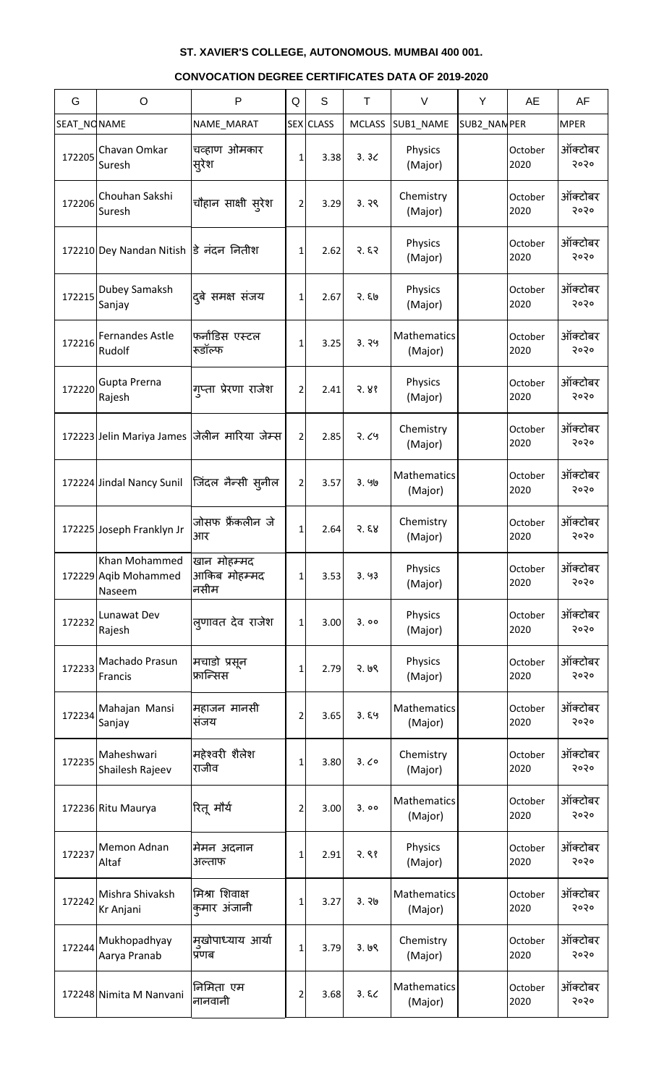| G           | $\circ$                                         | P                                   | Q              | S                | T             | $\vee$                 | Y            | AE              | AF              |
|-------------|-------------------------------------------------|-------------------------------------|----------------|------------------|---------------|------------------------|--------------|-----------------|-----------------|
| SEAT_NONAME |                                                 | NAME_MARAT                          |                | <b>SEX</b> CLASS | <b>MCLASS</b> | SUB1_NAME              | SUB2_NAN PER |                 | <b>MPER</b>     |
| 172205      | Chavan Omkar<br>Suresh                          | चव्हाण ओमकार<br>सूरेश               | 1              | 3.38             | 3.3<          | Physics<br>(Major)     |              | October<br>2020 | ऑक्टोबर<br>२०२० |
| 172206      | Chouhan Sakshi<br>Suresh                        | चौहान साक्षी स् <b>रेश</b>          | 2              | 3.29             | 3.79          | Chemistry<br>(Major)   |              | October<br>2020 | ऑक्टोबर<br>२०२० |
|             | 172210 Dey Nandan Nitish डि नंदन नितीश          |                                     | 1              | 2.62             | २. ६२         | Physics<br>(Major)     |              | October<br>2020 | ऑक्टोबर<br>२०२० |
| 172215      | Dubey Samaksh<br>Sanjay                         | दुबे समक्ष संजय                     | 1              | 2.67             | २. ६७         | Physics<br>(Major)     |              | October<br>2020 | ऑक्टोबर<br>२०२० |
| 172216      | <b>Fernandes Astle</b><br>Rudolf                | फर्नांडिस एस्टल<br>रूडॉल्फ          | 1              | 3.25             | 3.79          | Mathematics<br>(Major) |              | October<br>2020 | ऑक्टोबर<br>२०२० |
| 172220      | Gupta Prerna<br>Rajesh                          | गप्ता प्रेरणा राजेश                 | $\overline{2}$ | 2.41             | 3.88          | Physics<br>(Major)     |              | October<br>2020 | ऑक्टोबर<br>२०२० |
|             | 172223 Jelin Mariya James                       | जेलीन मारिया जेम्स                  | $\overline{2}$ | 2.85             | 2.69          | Chemistry<br>(Major)   |              | October<br>2020 | ऑक्टोबर<br>२०२० |
|             | 172224 Jindal Nancy Sunil                       | जिंदल नैन्सी स् <b>नील</b>          | 2              | 3.57             | 3.96          | Mathematics<br>(Major) |              | October<br>2020 | ऑक्टोबर<br>२०२० |
|             | 172225 Joseph Franklyn Jr                       | जोसफ फ्रैंकलीन जे<br>आर             | 1              | 2.64             | 3.58          | Chemistry<br>(Major)   |              | October<br>2020 | ऑक्टोबर<br>२०२० |
|             | Khan Mohammed<br>172229 Aqib Mohammed<br>Naseem | खान मोहम्मद<br>आकिब मोहम्मद<br>नसीम | 1              | 3.53             | 3.93          | Physics<br>(Major)     |              | October<br>2020 | ऑक्टोबर<br>२०२० |
| 172232      | Lunawat Dev<br>Rajesh                           | लूणावत देव राजेश                    | $\mathbf{1}$   | 3.00             | 3.00          | Physics<br>(Major)     |              | October<br>2020 | ऑक्टोबर<br>२०२० |
| 172233      | Machado Prasun<br>Francis                       | मचाडो प्रसृन<br>फ्रान्सिस           | 1              | 2.79             | 2.69          | Physics<br>(Major)     |              | October<br>2020 | ऑक्टोबर<br>२०२० |
| 172234      | Mahajan Mansi<br>Sanjay                         | महाजन मानसी<br>सजय                  | 2              | 3.65             | 3.89          | Mathematics<br>(Major) |              | October<br>2020 | ऑक्टोबर<br>२०२० |
| 172235      | Maheshwari<br>Shailesh Rajeev                   | महेश्वरी शैलेश<br>राजीव             | 1              | 3.80             | 3.00          | Chemistry<br>(Major)   |              | October<br>2020 | ऑक्टोबर<br>२०२० |
|             | 172236 Ritu Maurya                              | रितू मौर्य                          | 2              | 3.00             | 3.00          | Mathematics<br>(Major) |              | October<br>2020 | ऑक्टोबर<br>२०२० |
| 172237      | Memon Adnan<br>Altaf                            | मेमन अदनान<br>अल्ताफ                | 1              | 2.91             | 2.88          | Physics<br>(Major)     |              | October<br>2020 | ऑक्टोबर<br>२०२० |
| 172242      | Mishra Shivaksh<br>Kr Anjani                    | मिश्रा शिवाक्ष<br>कुमार अंजानी      | 1              | 3.27             | 3.76          | Mathematics<br>(Major) |              | October<br>2020 | ऑक्टोबर<br>२०२० |
| 172244      | Mukhopadhyay<br>Aarya Pranab                    | मखोपाध्याय आर्या<br>प्रणब           | 1              | 3.79             | 3.69          | Chemistry<br>(Major)   |              | October<br>2020 | ऑक्टोबर<br>२०२० |
|             | 172248 Nimita M Nanvani                         | निमिता एम<br>नानवानी                | 2              | 3.68             | 3.82          | Mathematics<br>(Major) |              | October<br>2020 | ऑक्टोबर<br>२०२० |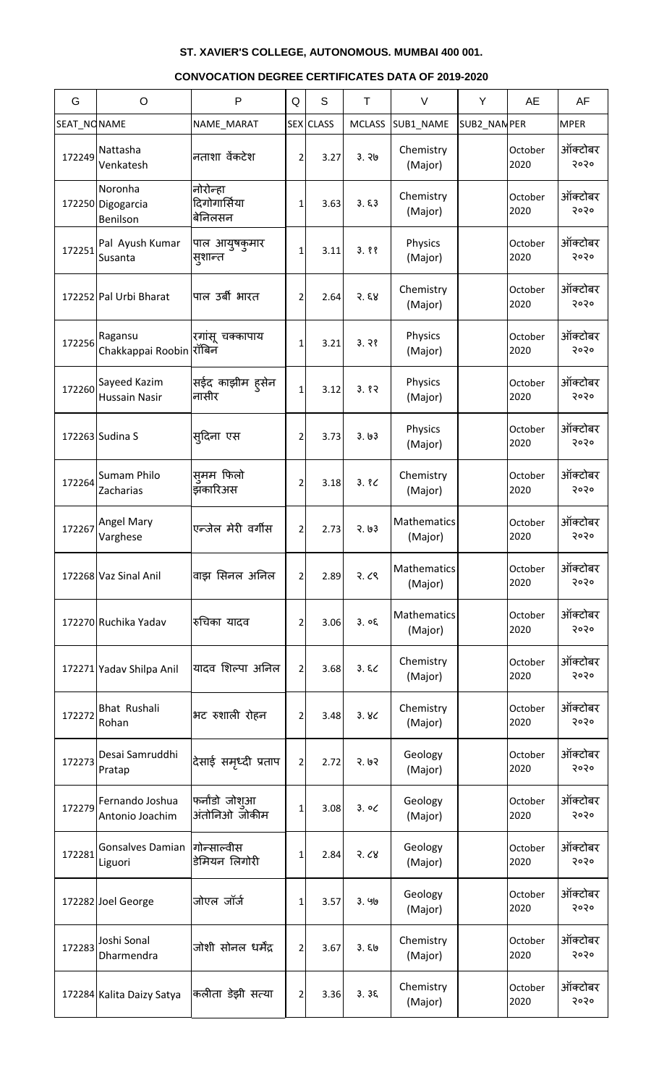| G           | $\circ$                                  | P                                   | Q              | $\mathsf S$ | $\top$        | $\vee$                 | Y           | AE              | AF              |
|-------------|------------------------------------------|-------------------------------------|----------------|-------------|---------------|------------------------|-------------|-----------------|-----------------|
| SEAT_NONAME |                                          | NAME_MARAT                          |                | SEX CLASS   | <b>MCLASS</b> | SUB1_NAME              | SUB2_NANPER |                 | <b>MPER</b>     |
| 172249      | Nattasha<br>Venkatesh                    | नताशा वेंकटेश                       | 2              | 3.27        | 3.76          | Chemistry<br>(Major)   |             | October<br>2020 | ऑक्टोबर<br>२०२० |
|             | Noronha<br>172250 Digogarcia<br>Benilson | नोरोन्हा<br>दिगोगार्सिया<br>बेनिलसन | 1              | 3.63        | 3.53          | Chemistry<br>(Major)   |             | October<br>2020 | ऑक्टोबर<br>२०२० |
| 172251      | Pal Ayush Kumar<br>Susanta               | पाल आयुषकुमार<br>स्ंशान्त           | 1              | 3.11        | 3.88          | Physics<br>(Major)     |             | October<br>2020 | ऑक्टोबर<br>२०२० |
|             | 172252 Pal Urbi Bharat                   | पाल उर्बी भारत                      | 2              | 2.64        | 3.58          | Chemistry<br>(Major)   |             | October<br>2020 | ऑक्टोबर<br>२०२० |
| 172256      | Ragansu<br>Chakkappai Roobin रॉबिन       | रगांसू चक्कापाय                     | 1              | 3.21        | 3.78          | Physics<br>(Major)     |             | October<br>2020 | ऑक्टोबर<br>२०२० |
| 172260      | Sayeed Kazim<br><b>Hussain Nasir</b>     | सईद काझीम ह्सेन<br>नासीर            | 1              | 3.12        | 3.82          | Physics<br>(Major)     |             | October<br>2020 | ऑक्टोबर<br>२०२० |
|             | 172263 Sudina S                          | स् <b>दिना ए</b> स                  | 2              | 3.73        | 3.63          | Physics<br>(Major)     |             | October<br>2020 | ऑक्टोबर<br>२०२० |
| 172264      | Sumam Philo<br>Zacharias                 | समम फिलो<br>झॅकारिअस                | 2              | 3.18        | 3.8C          | Chemistry<br>(Major)   |             | October<br>2020 | ऑक्टोबर<br>२०२० |
| 172267      | <b>Angel Mary</b><br>Varghese            | एन्जेल मेरी वर्गीस                  | 21             | 2.73        | 3.63          | Mathematics<br>(Major) |             | October<br>2020 | ऑक्टोबर<br>२०२० |
|             | 172268 Vaz Sinal Anil                    | वाझ सिनल अनिल                       | 2              | 2.89        | 2.68          | Mathematics<br>(Major) |             | October<br>2020 | ऑक्टोबर<br>२०२० |
|             | 172270 Ruchika Yadav                     | रुचिका यादव                         | 2              | 3.06        | 3.05          | Mathematics<br>(Major) |             | October<br>2020 | ऑक्टोबर<br>२०२० |
|             | 172271 Yadav Shilpa Anil                 | यादव शिल्पा अनिल                    | $\overline{2}$ | 3.68        | 3.52          | Chemistry<br>(Major)   |             | October<br>2020 | ऑक्टोबर<br>२०२० |
| 172272      | <b>Bhat Rushali</b><br>Rohan             | भट रुशाली रोहन                      | 2              | 3.48        | 3.8<          | Chemistry<br>(Major)   |             | October<br>2020 | ऑक्टोबर<br>२०२० |
| 172273      | Desai Samruddhi<br>Pratap                | देसाई समृध्दी प्रताप                | $\overline{2}$ | 2.72        | 3.63          | Geology<br>(Major)     |             | October<br>2020 | ऑक्टोबर<br>२०२० |
| 172279      | Fernando Joshua<br>Antonio Joachim       | फर्नांडो जोशआ<br>अंतोनिओ जोकीम      | 1              | 3.08        | 3.00          | Geology<br>(Major)     |             | October<br>2020 | ऑक्टोबर<br>२०२० |
| 172281      | <b>Gonsalves Damian</b><br>Liguori       | गोन्साल्वीस<br>डेमियन लिगोरी        | 1              | 2.84        | 3.68          | Geology<br>(Major)     |             | October<br>2020 | ऑक्टोबर<br>२०२० |
|             | 172282 Joel George                       | जोएल जॉर्ज                          | 1              | 3.57        | 3.90          | Geology<br>(Major)     |             | October<br>2020 | ऑक्टोबर<br>२०२० |
| 172283      | Joshi Sonal<br>Dharmendra                | जोशी सोनल धर्मेंद्र                 | 2              | 3.67        | 3.50          | Chemistry<br>(Major)   |             | October<br>2020 | ऑक्टोबर<br>5050 |
|             | 172284 Kalita Daizy Satya                | कलीता डेझी सत्या                    | 2              | 3.36        | 3.35          | Chemistry<br>(Major)   |             | October<br>2020 | ऑक्टोबर<br>२०२० |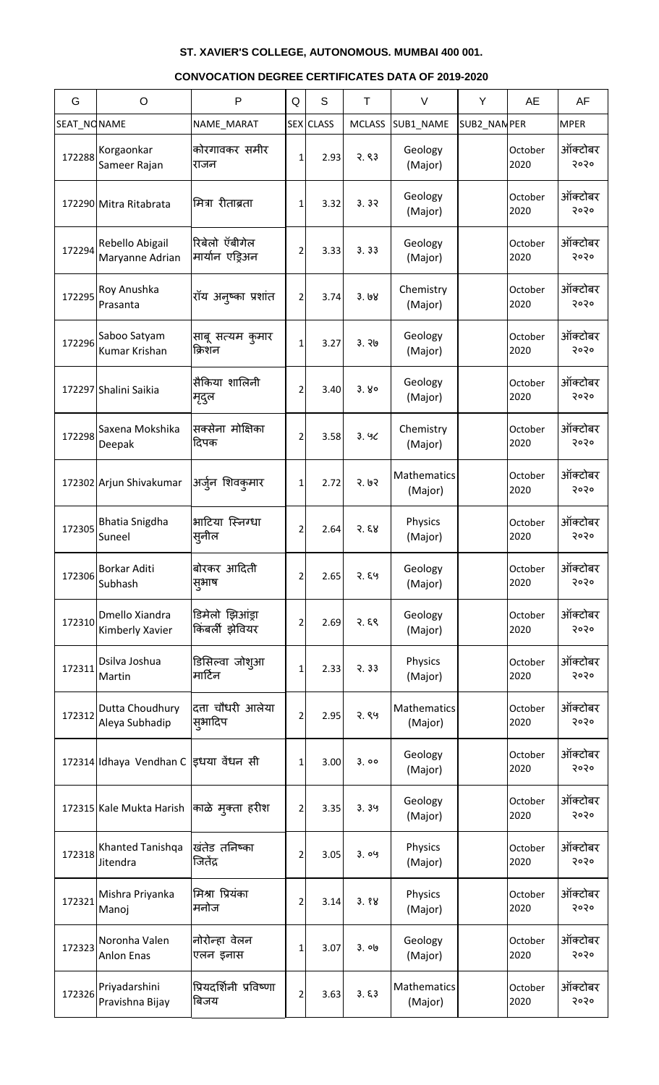| G           | $\circ$                                    | $\mathsf{P}$                       | Q              | S                | Τ             | $\vee$                 | Y            | AE              | AF              |
|-------------|--------------------------------------------|------------------------------------|----------------|------------------|---------------|------------------------|--------------|-----------------|-----------------|
| SEAT_NONAME |                                            | NAME_MARAT                         |                | <b>SEX</b> CLASS | <b>MCLASS</b> | SUB1_NAME              | SUB2_NAN PER |                 | <b>MPER</b>     |
| 172288      | Korgaonkar<br>Sameer Rajan                 | कोरगावकर समीर<br>राजन              | 1              | 2.93             | 2.83          | Geology<br>(Major)     |              | October<br>2020 | ऑक्टोबर<br>२०२० |
|             | 172290 Mitra Ritabrata                     | मित्रा रीताब्रता                   | 1              | 3.32             | 3.32          | Geology<br>(Major)     |              | October<br>2020 | ऑक्टोबर<br>२०२० |
| 172294      | Rebello Abigail<br>Maryanne Adrian         | रिबेलो ऍबीगेल<br>मार्यान एड्रिअन   | 2              | 3.33             | 3.33          | Geology<br>(Major)     |              | October<br>2020 | ऑक्टोबर<br>२०२० |
| 172295      | Roy Anushka<br>Prasanta                    | रॉय अन्ष्का प्रशांत                | 2              | 3.74             | 3.68          | Chemistry<br>(Major)   |              | October<br>2020 | ऑक्टोबर<br>२०२० |
| 172296      | Saboo Satyam<br>Kumar Krishan              | साबू सत्यम कुमार<br>क्रिशन         | 1              | 3.27             | 3.76          | Geology<br>(Major)     |              | October<br>2020 | ऑक्टोबर<br>२०२० |
|             | 172297 Shalini Saikia                      | सैकिया शालिनी<br>मृदुल             | 2              | 3.40             | 3.80          | Geology<br>(Major)     |              | October<br>2020 | ऑक्टोबर<br>२०२० |
| 172298      | Saxena Mokshika<br>Deepak                  | सक्सेना मोक्षिका<br>दिपक           | 2              | 3.58             | 3.9C          | Chemistry<br>(Major)   |              | October<br>2020 | ऑक्टोबर<br>२०२० |
|             | 172302 Arjun Shivakumar                    | अर्जुन शिवकुमार                    | 1              | 2.72             | 3.63          | Mathematics<br>(Major) |              | October<br>2020 | ऑक्टोबर<br>२०२० |
| 172305      | Bhatia Snigdha<br>Suneel                   | भाटिया स्निग्धा<br>स्नील           | 2              | 2.64             | 3.58          | Physics<br>(Major)     |              | October<br>2020 | ऑक्टोबर<br>२०२० |
| 172306      | Borkar Aditi<br>Subhash                    | बोरकर आदिती<br>सूभाष               | 2              | 2.65             | २. ६५         | Geology<br>(Major)     |              | October<br>2020 | ऑक्टोबर<br>२०२० |
| 172310      | Dmello Xiandra<br>Kimberly Xavier          | डिमेलो झिआंड्रा<br>किंबर्ली झेवियर | 2              | 2.69             | २. ६९         | Geology<br>(Major)     |              | October<br>2020 | ऑक्टोबर<br>२०२० |
| 172311      | Dsilva Joshua<br>Martin                    | डिसिल्वा जोश्आ<br>मार्टिन          | 1              | 2.33             | 3.33          | Physics<br>(Major)     |              | October<br>2020 | ऑक्टोबर<br>२०२० |
| 172312      | Dutta Choudhury<br>Aleya Subhadip          | दत्ता चौधरी आलेया<br>सुभादिप       | 2              | 2.95             | 2.89          | Mathematics<br>(Major) |              | October<br>2020 | ऑक्टोबर<br>२०२० |
|             | 172314 Idhaya Vendhan C इधया वेंधन सी      |                                    | 1              | 3.00             | 3.00          | Geology<br>(Major)     |              | October<br>2020 | ऑक्टोबर<br>२०२० |
|             | 172315 Kale Mukta Harish  काळे मुक्ता हरीश |                                    | $\overline{2}$ | 3.35             | 3.39          | Geology<br>(Major)     |              | October<br>2020 | ऑक्टोबर<br>२०२० |
| 172318      | Khanted Tanishqa<br>Jitendra               | खंतेड तनिष्का<br>जितेंद            | 2              | 3.05             | 3.09          | Physics<br>(Major)     |              | October<br>2020 | ऑक्टोबर<br>२०२० |
| 172321      | Mishra Priyanka<br>Manoj                   | मिश्रा प्रियंका<br>मनोज            | 2              | 3.14             | 3.88          | Physics<br>(Major)     |              | October<br>2020 | ऑक्टोबर<br>२०२० |
| 172323      | Noronha Valen<br>Anlon Enas                | नोरोन्हा वेलन<br>एलन इनास          | 1              | 3.07             | 3.00          | Geology<br>(Major)     |              | October<br>2020 | ऑक्टोबर<br>5050 |
| 172326      | Priyadarshini<br>Pravishna Bijay           | प्रियदर्शिनी प्रविष्णा<br>बिजय     | $\overline{2}$ | 3.63             | 3.53          | Mathematics<br>(Major) |              | October<br>2020 | ऑक्टोबर<br>२०२० |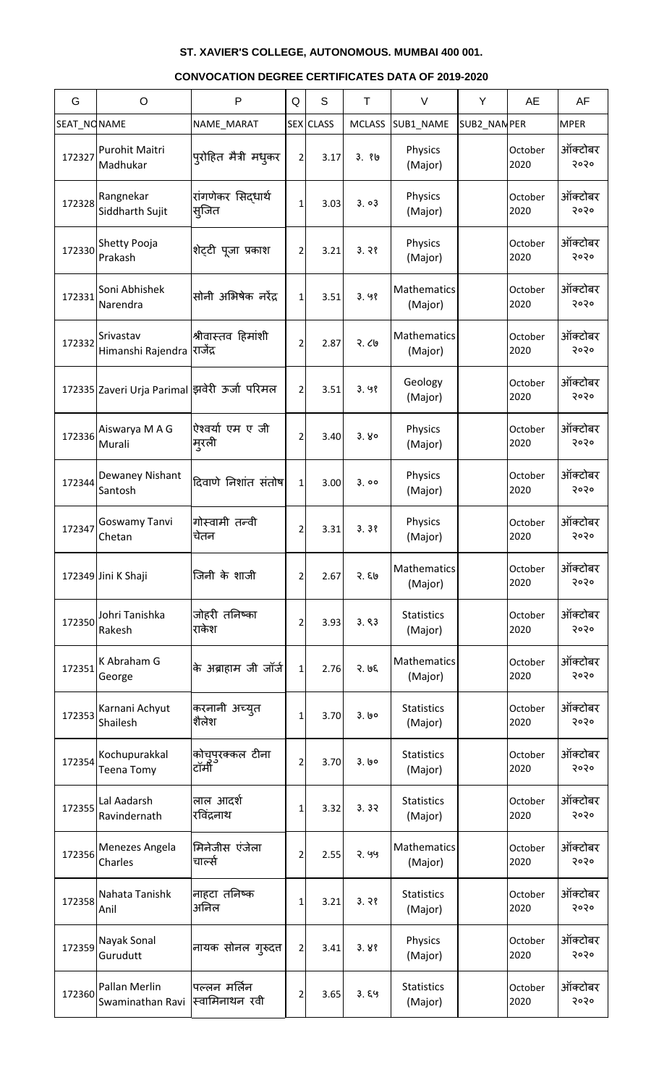| G           | $\circ$                                       | $\mathsf{P}$                   | Q              | S                | Τ             | $\vee$                       | Y            | <b>AE</b>       | AF              |
|-------------|-----------------------------------------------|--------------------------------|----------------|------------------|---------------|------------------------------|--------------|-----------------|-----------------|
| SEAT NONAME |                                               | NAME_MARAT                     |                | <b>SEX</b> CLASS | <b>MCLASS</b> | SUB1_NAME                    | SUB2_NAN PER |                 | <b>MPER</b>     |
| 172327      | Purohit Maitri<br>Madhukar                    | प्रोहित मैत्री मधुकर           | 2              | 3.17             | 3.86          | Physics<br>(Major)           |              | October<br>2020 | ऑक्टोबर<br>२०२० |
| 172328      | Rangnekar<br>Siddharth Sujit                  | रांगणेकर सिद्धार्थ<br>स्जित    | 1              | 3.03             | 3.03          | Physics<br>(Major)           |              | October<br>2020 | ऑक्टोबर<br>२०२० |
| 172330      | Shetty Pooja<br>Prakash                       | शेट्टी पूजा प्रकाश             | 2              | 3.21             | 3.78          | Physics<br>(Major)           |              | October<br>2020 | ऑक्टोबर<br>२०२० |
| 172331      | Soni Abhishek<br>Narendra                     | सोनी अभिषेक नरेंद्र            | 1              | 3.51             | 3.98          | Mathematics<br>(Major)       |              | October<br>2020 | ऑक्टोबर<br>२०२० |
| 172332      | Srivastav<br>Himanshi Rajendra                | श्रीवास्तव हिमांशी<br>राजेंद्र | 2              | 2.87             | २.८७          | Mathematics<br>(Major)       |              | October<br>2020 | ऑक्टोबर<br>२०२० |
|             | 172335 Zaveri Urja Parimal झिवेरी ऊर्जा परिमल |                                | 2              | 3.51             | 3.98          | Geology<br>(Major)           |              | October<br>2020 | ऑक्टोबर<br>२०२० |
| 172336      | Aiswarya M A G<br>Murali                      | ऐश्वर्या एम ए जी<br>मूरली      | 2              | 3.40             | 3.80          | Physics<br>(Major)           |              | October<br>2020 | ऑक्टोबर<br>२०२० |
| 172344      | Dewaney Nishant<br>Santosh                    | दिवाणे निशांत संतोष            | 1              | 3.00             | 3.00          | Physics<br>(Major)           |              | October<br>2020 | ऑक्टोबर<br>२०२० |
| 172347      | Goswamy Tanvi<br>Chetan                       | गोस्वामी तन्वी<br>चेतन         | 2              | 3.31             | 3.38          | Physics<br>(Major)           |              | October<br>2020 | ऑक्टोबर<br>२०२० |
|             | 172349 Jini K Shaji                           | जिनी के शाजी                   | 2              | 2.67             | २. ६७         | Mathematics<br>(Major)       |              | October<br>2020 | ऑक्टोबर<br>२०२० |
| 172350      | Johri Tanishka<br>Rakesh                      | जोहरी तनिष्का<br>राकेश         | 2              | 3.93             | 3.83          | <b>Statistics</b><br>(Major) |              | October<br>2020 | ऑक्टोबर<br>२०२० |
| 172351      | K Abraham G<br>George                         | के अब्राहाम जी जॉर्ज           | $\mathbf{1}$   | 2.76             | २. ७६         | Mathematics<br>(Major)       |              | October<br>2020 | ऑक्टोबर<br>२०२० |
| 172353      | Karnani Achyut<br>Shailesh                    | करनानी अच्युत<br>शैलेश         | 1              | 3.70             | 3.60          | <b>Statistics</b><br>(Major) |              | October<br>2020 | ऑक्टोबर<br>२०२० |
| 172354      | Kochupurakkal<br><b>Teena Tomy</b>            | कोचुपुरक्कल टीना<br>टॉमी       | 2              | 3.70             | 3.60          | <b>Statistics</b><br>(Major) |              | October<br>2020 | ऑक्टोबर<br>२०२० |
| 172355      | Lal Aadarsh<br>Ravindernath                   | लाल आदर्श<br>रविंद्रनाथ        | 1              | 3.32             | 3.32          | <b>Statistics</b><br>(Major) |              | October<br>2020 | ऑक्टोबर<br>२०२० |
| 172356      | Menezes Angela<br>Charles                     | मिनेजीस एंजेला<br>चार्ल्स      | 2              | 2.55             | 2.99          | Mathematics<br>(Major)       |              | October<br>2020 | ऑक्टोबर<br>२०२० |
| 172358      | Nahata Tanishk<br>Anil                        | नाहटा तनिष्क<br>अनिल           | 1              | 3.21             | 3.78          | <b>Statistics</b><br>(Major) |              | October<br>2020 | ऑक्टोबर<br>२०२० |
| 172359      | Nayak Sonal<br>Gurudutt                       | नायक सोनल गुरुदत्त             | $\overline{2}$ | 3.41             | 3.88          | Physics<br>(Major)           |              | October<br>2020 | ऑक्टोबर<br>२०२० |
| 172360      | Pallan Merlin<br>Swaminathan Ravi             | पल्लन मर्लिन<br>स्वामिनाथन रवी | 2              | 3.65             | 3.89          | <b>Statistics</b><br>(Major) |              | October<br>2020 | ऑक्टोबर<br>२०२० |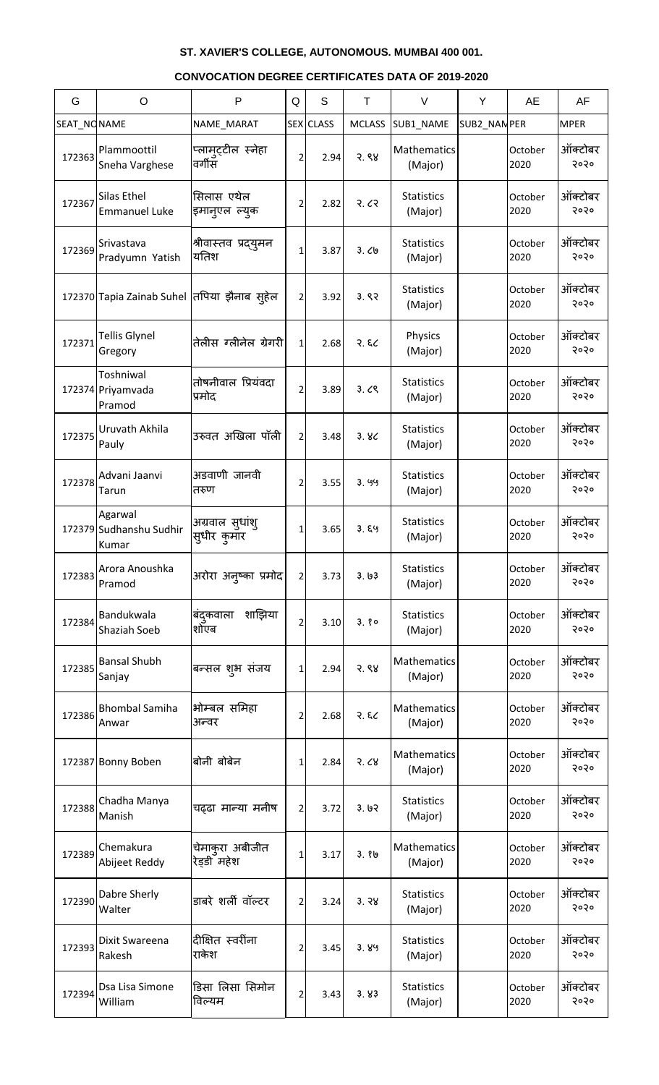| G           | $\circ$                                      | P                              | Q              | S                | Τ             | $\vee$                       | Y           | AE              | AF              |
|-------------|----------------------------------------------|--------------------------------|----------------|------------------|---------------|------------------------------|-------------|-----------------|-----------------|
| SEAT_NONAME |                                              | NAME_MARAT                     |                | <b>SEX</b> CLASS | <b>MCLASS</b> | SUB1 NAME                    | SUB2_NANPER |                 | <b>MPER</b>     |
| 172363      | Plammoottil<br>Sneha Varghese                | प्लामुट्टील स्नेहा<br>वर्गीस   | 2              | 2.94             | 3.88          | Mathematics<br>(Major)       |             | October<br>2020 | ऑक्टोबर<br>२०२० |
| 172367      | Silas Ethel<br><b>Emmanuel Luke</b>          | सिलास एथेल<br>इमान्एल ल्युक    | 2              | 2.82             | २.८२          | <b>Statistics</b><br>(Major) |             | October<br>2020 | ऑक्टोबर<br>२०२० |
| 172369      | Srivastava<br>Pradyumn Yatish                | श्रीवास्तव प्रद्युमन<br>यतिश   | 1              | 3.87             | 3.09          | <b>Statistics</b><br>(Major) |             | October<br>2020 | ऑक्टोबर<br>२०२० |
|             | 172370 Tapia Zainab Suhel तिपिया झैनाब स्हेल |                                | 2              | 3.92             | 3.82          | <b>Statistics</b><br>(Major) |             | October<br>2020 | ऑक्टोबर<br>२०२० |
| 172371      | <b>Tellis Glynel</b><br>Gregory              | तेलीस ग्लीनेल ग्रेगरी          | $\mathbf{1}$   | 2.68             | 3.82          | Physics<br>(Major)           |             | October<br>2020 | ऑक्टोबर<br>२०२० |
|             | Toshniwal<br>172374 Priyamvada<br>Pramod     | तोषनीवाल प्रियंवदा<br>प्रमोद   | 2              | 3.89             | 3.09          | <b>Statistics</b><br>(Major) |             | October<br>2020 | ऑक्टोबर<br>२०२० |
| 172375      | Uruvath Akhila<br>Pauly                      | उरुवत अखिला पॉली               | 2              | 3.48             | 3.8<          | <b>Statistics</b><br>(Major) |             | October<br>2020 | ऑक्टोबर<br>२०२० |
| 172378      | Advani Jaanvi<br>Tarun                       | अडवाणी जानवी<br>तरुण           | 2              | 3.55             | 3.99          | <b>Statistics</b><br>(Major) |             | October<br>2020 | ऑक्टोबर<br>२०२० |
|             | Agarwal<br>172379 Sudhanshu Sudhir<br>Kumar  | अग्रवाल सुधांशु<br>सुधीर कुमार | 1              | 3.65             | 3.89          | <b>Statistics</b><br>(Major) |             | October<br>2020 | ऑक्टोबर<br>२०२० |
| 172383      | Arora Anoushka<br>Pramod                     | अरोरा अन्ष्का प्रमोद           | $\overline{2}$ | 3.73             | 3.63          | <b>Statistics</b><br>(Major) |             | October<br>2020 | ऑक्टोबर<br>२०२० |
| 172384      | Bandukwala<br>Shaziah Soeb                   | शाझिया<br>बंदुकवाला<br>शोएब    | 2              | 3.10             | 3.80          | <b>Statistics</b><br>(Major) |             | October<br>2020 | ऑक्टोबर<br>२०२० |
| 172385      | <b>Bansal Shubh</b><br>Sanjay                | बन्सल शुभ संजय                 | 1              | 2.94             | 3.88          | Mathematics<br>(Major)       |             | October<br>2020 | ऑक्टोबर<br>२०२० |
| 172386      | <b>Bhombal Samiha</b><br>Anwar               | भोम्बल समिहा<br>अन्वर          | 2              | 2.68             | २. $\xi$ ८    | Mathematics<br>(Major)       |             | October<br>2020 | ऑक्टोबर<br>२०२० |
|             | 172387 Bonny Boben                           | बोनी बोबेन                     | 1              | 2.84             | 3.68          | Mathematics<br>(Major)       |             | October<br>2020 | ऑक्टोबर<br>२०२० |
| 172388      | Chadha Manya<br>Manish                       | चढढा मान्या मनीष               | $\overline{2}$ | 3.72             | 3.62          | <b>Statistics</b><br>(Major) |             | October<br>2020 | ऑक्टोबर<br>२०२० |
| 172389      | Chemakura<br>Abijeet Reddy                   | चेमाकरा अबीजीत<br>रेड़डी महेश  | 1              | 3.17             | 3.86          | Mathematics<br>(Major)       |             | October<br>2020 | ऑक्टोबर<br>२०२० |
| 172390      | Dabre Sherly<br>Walter                       | डाबरे शर्ली वॉल्टर             | 2              | 3.24             | 3.38          | <b>Statistics</b><br>(Major) |             | October<br>2020 | ऑक्टोबर<br>२०२० |
| 172393      | Dixit Swareena<br>Rakesh                     | दीक्षित स्वरींना<br>राकेश      | 2              | 3.45             | 3.89          | <b>Statistics</b><br>(Major) |             | October<br>2020 | ऑक्टोबर<br>२०२० |
| 172394      | Dsa Lisa Simone<br>William                   | डिसा लिसा सिमोन<br>विल्यम      | 2              | 3.43             | 3.83          | <b>Statistics</b><br>(Major) |             | October<br>2020 | ऑक्टोबर<br>5050 |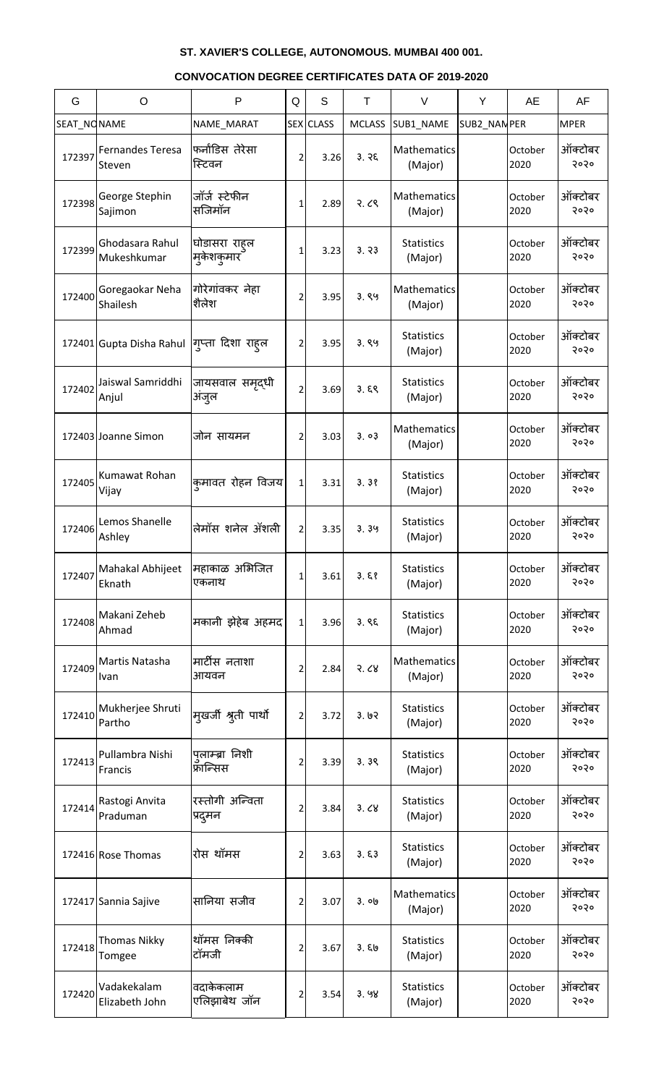| G           | $\circ$                           | P                                   | Q              | S         | $\top$        | $\vee$                       | Y           | AE              | AF              |
|-------------|-----------------------------------|-------------------------------------|----------------|-----------|---------------|------------------------------|-------------|-----------------|-----------------|
| SEAT_NONAME |                                   | NAME_MARAT                          |                | SEX CLASS | <b>MCLASS</b> | SUB1_NAME                    | SUB2_NANPER |                 | <b>MPER</b>     |
| 172397      | <b>Fernandes Teresa</b><br>Steven | फर्नांडिस तेरेसा<br>स्टिवन          | 2              | 3.26      | 3.76          | Mathematics<br>(Major)       |             | October<br>2020 | ऑक्टोबर<br>२०२० |
| 172398      | George Stephin<br>Sajimon         | जॉर्ज स्टेफीन<br>सजिमॉन             | 1              | 2.89      | 2.68          | Mathematics<br>(Major)       |             | October<br>2020 | ऑक्टोबर<br>२०२० |
| 172399      | Ghodasara Rahul<br>Mukeshkumar    | घोडासरा राहल<br> म् <b>केशकुमार</b> | 1              | 3.23      | 3.73          | <b>Statistics</b><br>(Major) |             | October<br>2020 | ऑक्टोबर<br>२०२० |
| 172400      | Goregaokar Neha<br>Shailesh       | गोरेगांवकर नेहा<br>शैलेश            | 2              | 3.95      | 3.89          | Mathematics<br>(Major)       |             | October<br>2020 | ऑक्टोबर<br>२०२० |
|             | 172401 Gupta Disha Rahul          | गुप्ता दिशा राहल                    | 2              | 3.95      | 3.89          | <b>Statistics</b><br>(Major) |             | October<br>2020 | ऑक्टोबर<br>२०२० |
| 172402      | Jaiswal Samriddhi<br>Anjul        | जायसवाल समृद्धी<br>अजुल             | 2              | 3.69      | 3.59          | <b>Statistics</b><br>(Major) |             | October<br>2020 | ऑक्टोबर<br>२०२० |
|             | 172403 Joanne Simon               | जोन सायमन                           | 2              | 3.03      | 3.03          | Mathematics<br>(Major)       |             | October<br>2020 | ऑक्टोबर<br>२०२० |
| 172405      | Kumawat Rohan<br>Vijay            | कमावत रोहन विजय                     | $\mathbf{1}$   | 3.31      | 3.38          | <b>Statistics</b><br>(Major) |             | October<br>2020 | ऑक्टोबर<br>२०२० |
| 172406      | Lemos Shanelle<br>Ashley          | लेमॉस शनेल ॲशली                     | $\overline{2}$ | 3.35      | 3.39          | <b>Statistics</b><br>(Major) |             | October<br>2020 | ऑक्टोबर<br>२०२० |
| 172407      | Mahakal Abhijeet<br>Eknath        | महाकाळ अभिजित<br>एकनाथ              | 1              | 3.61      | 3.58          | <b>Statistics</b><br>(Major) |             | October<br>2020 | ऑक्टोबर<br>२०२० |
| 172408      | Makani Zeheb<br>Ahmad             | मकानी झेहेब अहमद                    | $\mathbf{1}$   | 3.96      | 3.85          | <b>Statistics</b><br>(Major) |             | October<br>2020 | ऑक्टोबर<br>२०२० |
| 172409      | Martis Natasha<br>Ivan            | मार्टीस नताशा<br>आयवन               | 2              | 2.84      | 3.68          | Mathematics<br>(Major)       |             | October<br>2020 | ऑक्टोबर<br>२०२० |
| 172410      | Mukherjee Shruti<br>Partho        | मुखर्जी श्रुती पार्थो               | 2              | 3.72      | 3.62          | <b>Statistics</b><br>(Major) |             | October<br>2020 | ऑक्टोबर<br>२०२० |
| 172413      | Pullambra Nishi<br>Francis        | पुलाम्ब्रा निशी<br>फ्रान्सिस        | 2              | 3.39      | 3.39          | <b>Statistics</b><br>(Major) |             | October<br>2020 | ऑक्टोबर<br>२०२० |
| 172414      | Rastogi Anvita<br>Praduman        | रस्तोगी अन्विता<br>प्रदुमन          | 2              | 3.84      | 3.68          | <b>Statistics</b><br>(Major) |             | October<br>2020 | ऑक्टोबर<br>२०२० |
|             | 172416 Rose Thomas                | रोस थॉमस                            | 2              | 3.63      | 3.53          | <b>Statistics</b><br>(Major) |             | October<br>2020 | ऑक्टोबर<br>२०२० |
|             | 172417 Sannia Sajive              | सानिया सजीव                         | 2              | 3.07      | ३. ०७         | Mathematics<br>(Major)       |             | October<br>2020 | ऑक्टोबर<br>२०२० |
| 172418      | <b>Thomas Nikky</b><br>Tomgee     | थॉमस निक्की<br>टॉमजी                | 2              | 3.67      | 3.50          | <b>Statistics</b><br>(Major) |             | October<br>2020 | ऑक्टोबर<br>२०२० |
| 172420      | Vadakekalam<br>Elizabeth John     | वदाकेकलाम<br>एलिझाबेथ जॉन           | 2              | 3.54      | 3.98          | <b>Statistics</b><br>(Major) |             | October<br>2020 | ऑक्टोबर<br>२०२० |